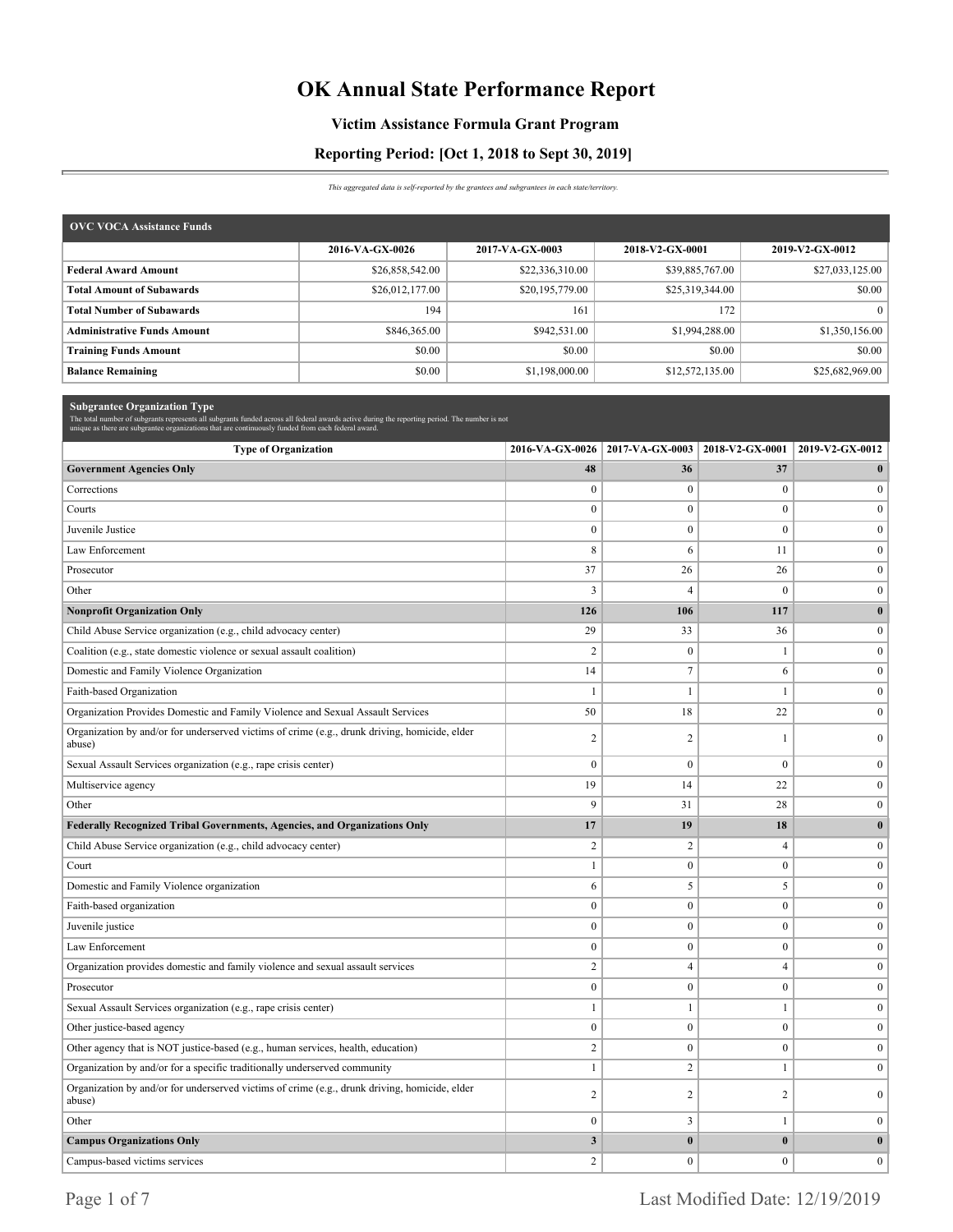# **OK Annual State Performance Report**

### **Victim Assistance Formula Grant Program**

### **Reporting Period: [Oct 1, 2018 to Sept 30, 2019]**

*This aggregated data is self-reported by the grantees and subgrantees in each state/territory.*

| <b>OVC VOCA Assistance Funds</b>   |                 |                 |                 |                 |
|------------------------------------|-----------------|-----------------|-----------------|-----------------|
|                                    | 2016-VA-GX-0026 | 2017-VA-GX-0003 | 2018-V2-GX-0001 | 2019-V2-GX-0012 |
| <b>Federal Award Amount</b>        | \$26,858,542.00 | \$22,336,310.00 | \$39,885,767.00 | \$27,033,125.00 |
| <b>Total Amount of Subawards</b>   | \$26,012,177.00 | \$20,195,779.00 | \$25,319,344.00 | \$0.00          |
| <b>Total Number of Subawards</b>   | 194             | 161             | 172             | $\Omega$        |
| <b>Administrative Funds Amount</b> | \$846,365.00    | \$942,531.00    | \$1,994,288.00  | \$1,350,156.00  |
| <b>Training Funds Amount</b>       | \$0.00          | \$0.00          | \$0.00          | \$0.00          |
| <b>Balance Remaining</b>           | \$0.00          | \$1,198,000.00  | \$12,572,135.00 | \$25,682,969.00 |

| <b>Subgrantee Organization Type</b><br>The total number of subgrants represents all subgrants funded across all federal awards active during the reporting period. The number is not<br>unique as there are subgrantee organizations that are continuously funded from each federal award. |                  |                         |                  |                  |
|--------------------------------------------------------------------------------------------------------------------------------------------------------------------------------------------------------------------------------------------------------------------------------------------|------------------|-------------------------|------------------|------------------|
| <b>Type of Organization</b>                                                                                                                                                                                                                                                                | 2016-VA-GX-0026  | 2017-VA-GX-0003         | 2018-V2-GX-0001  | 2019-V2-GX-0012  |
| <b>Government Agencies Only</b>                                                                                                                                                                                                                                                            | 48               | 36                      | 37               | $\bf{0}$         |
| Corrections                                                                                                                                                                                                                                                                                | $\mathbf{0}$     | $\bf{0}$                | $\mathbf{0}$     | $\overline{0}$   |
| Courts                                                                                                                                                                                                                                                                                     | $\boldsymbol{0}$ | $\bf{0}$                | $\boldsymbol{0}$ | $\mathbf{0}$     |
| Juvenile Justice                                                                                                                                                                                                                                                                           | $\boldsymbol{0}$ | $\boldsymbol{0}$        | $\mathbf{0}$     | $\mathbf{0}$     |
| Law Enforcement                                                                                                                                                                                                                                                                            | $\,$ 8 $\,$      | 6                       | 11               | $\overline{0}$   |
| Prosecutor                                                                                                                                                                                                                                                                                 | 37               | 26                      | 26               | $\mathbf{0}$     |
| Other                                                                                                                                                                                                                                                                                      | 3                | $\overline{4}$          | $\boldsymbol{0}$ | $\boldsymbol{0}$ |
| <b>Nonprofit Organization Only</b>                                                                                                                                                                                                                                                         | 126              | 106                     | 117              | $\bf{0}$         |
| Child Abuse Service organization (e.g., child advocacy center)                                                                                                                                                                                                                             | 29               | 33                      | 36               | $\overline{0}$   |
| Coalition (e.g., state domestic violence or sexual assault coalition)                                                                                                                                                                                                                      | $\overline{2}$   | $\boldsymbol{0}$        | $\mathbf{1}$     | $\mathbf{0}$     |
| Domestic and Family Violence Organization                                                                                                                                                                                                                                                  | 14               | $\overline{7}$          | 6                | $\overline{0}$   |
| Faith-based Organization                                                                                                                                                                                                                                                                   | $\mathbf{1}$     | $\mathbf{1}$            | $\mathbf{1}$     | $\boldsymbol{0}$ |
| Organization Provides Domestic and Family Violence and Sexual Assault Services                                                                                                                                                                                                             | 50               | 18                      | 22               | $\overline{0}$   |
| Organization by and/or for underserved victims of crime (e.g., drunk driving, homicide, elder<br>abuse)                                                                                                                                                                                    | $\overline{c}$   | $\overline{c}$          | $\mathbf{1}$     | $\overline{0}$   |
| Sexual Assault Services organization (e.g., rape crisis center)                                                                                                                                                                                                                            | $\mathbf{0}$     | $\mathbf{0}$            | $\mathbf{0}$     | $\overline{0}$   |
| Multiservice agency                                                                                                                                                                                                                                                                        | 19               | 14                      | 22               | $\mathbf{0}$     |
| Other                                                                                                                                                                                                                                                                                      | 9                | 31                      | 28               | $\mathbf{0}$     |
| Federally Recognized Tribal Governments, Agencies, and Organizations Only                                                                                                                                                                                                                  | 17               | 19                      | 18               | $\bf{0}$         |
| Child Abuse Service organization (e.g., child advocacy center)                                                                                                                                                                                                                             | $\overline{c}$   | $\overline{c}$          | $\overline{4}$   | $\overline{0}$   |
| Court                                                                                                                                                                                                                                                                                      | $\mathbf{1}$     | $\bf{0}$                | $\bf{0}$         | $\overline{0}$   |
| Domestic and Family Violence organization                                                                                                                                                                                                                                                  | 6                | 5                       | 5                | $\overline{0}$   |
| Faith-based organization                                                                                                                                                                                                                                                                   | $\boldsymbol{0}$ | $\bf{0}$                | $\boldsymbol{0}$ | $\overline{0}$   |
| Juvenile justice                                                                                                                                                                                                                                                                           | $\boldsymbol{0}$ | $\boldsymbol{0}$        | $\bf{0}$         | $\overline{0}$   |
| Law Enforcement                                                                                                                                                                                                                                                                            | $\mathbf{0}$     | $\mathbf{0}$            | $\mathbf{0}$     | $\bf{0}$         |
| Organization provides domestic and family violence and sexual assault services                                                                                                                                                                                                             | $\sqrt{2}$       | $\overline{4}$          | $\overline{4}$   | $\bf{0}$         |
| Prosecutor                                                                                                                                                                                                                                                                                 | $\boldsymbol{0}$ | $\bf{0}$                | $\boldsymbol{0}$ | $\overline{0}$   |
| Sexual Assault Services organization (e.g., rape crisis center)                                                                                                                                                                                                                            | $\mathbf{1}$     | $\mathbf{1}$            | $\mathbf{1}$     | $\bf{0}$         |
| Other justice-based agency                                                                                                                                                                                                                                                                 | $\boldsymbol{0}$ | $\boldsymbol{0}$        | $\boldsymbol{0}$ | $\bf{0}$         |
| Other agency that is NOT justice-based (e.g., human services, health, education)                                                                                                                                                                                                           | $\overline{c}$   | $\mathbf{0}$            | $\mathbf{0}$     | $\bf{0}$         |
| Organization by and/or for a specific traditionally underserved community                                                                                                                                                                                                                  | $\mathbf{1}$     | $\overline{c}$          | $\mathbf{1}$     | $\overline{0}$   |
| Organization by and/or for underserved victims of crime (e.g., drunk driving, homicide, elder<br>abuse)                                                                                                                                                                                    | $\sqrt{2}$       | $\overline{\mathbf{c}}$ | $\sqrt{2}$       | $\overline{0}$   |
| Other                                                                                                                                                                                                                                                                                      | $\boldsymbol{0}$ | 3                       | 1                | $\bf{0}$         |
| <b>Campus Organizations Only</b>                                                                                                                                                                                                                                                           | $\mathbf{3}$     | $\bf{0}$                | $\bf{0}$         | $\bf{0}$         |
| Campus-based victims services                                                                                                                                                                                                                                                              | $\overline{2}$   | $\mathbf{0}$            | $\mathbf{0}$     | $\mathbf{0}$     |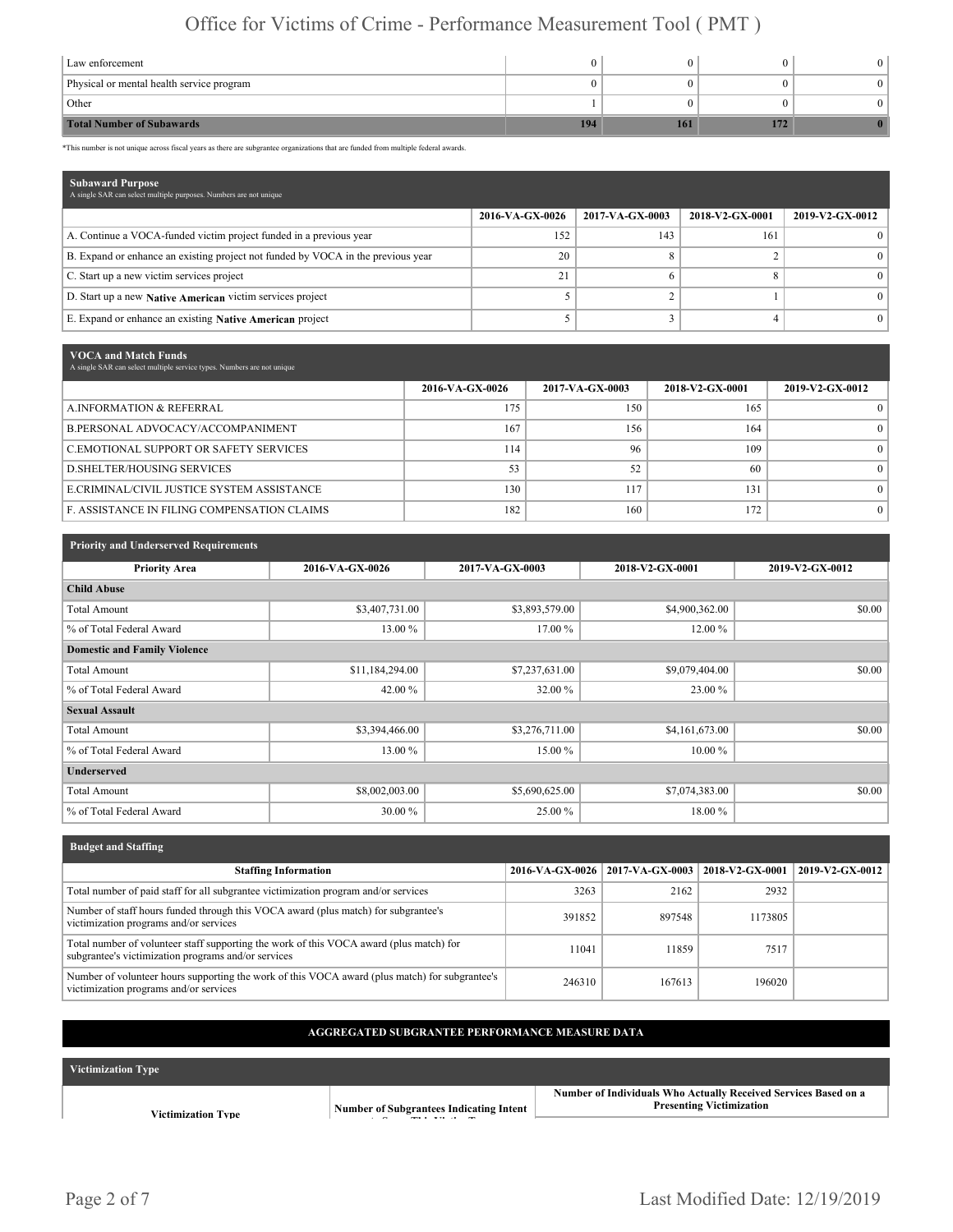| Law enforcement                           |     |     |     |  |
|-------------------------------------------|-----|-----|-----|--|
| Physical or mental health service program |     |     |     |  |
| Other                                     |     |     |     |  |
| <b>Total Number of Subawards</b>          | 194 | 161 | 172 |  |

\*This number is not unique across fiscal years as there are subgrantee organizations that are funded from multiple federal awards.

| <b>Subaward Purpose</b><br>A single SAR can select multiple purposes. Numbers are not unique |                 |                 |                 |                 |
|----------------------------------------------------------------------------------------------|-----------------|-----------------|-----------------|-----------------|
|                                                                                              | 2016-VA-GX-0026 | 2017-VA-GX-0003 | 2018-V2-GX-0001 | 2019-V2-GX-0012 |
| A. Continue a VOCA-funded victim project funded in a previous year                           | 152             | 143             | 161             |                 |
| B. Expand or enhance an existing project not funded by VOCA in the previous year             | 20              |                 |                 |                 |
| C. Start up a new victim services project                                                    | 21              |                 |                 |                 |
| D. Start up a new Native American victim services project                                    |                 |                 |                 |                 |
| E. Expand or enhance an existing Native American project                                     |                 |                 |                 |                 |

| VOCA and Match Funds<br>A single SAR can select multiple service types. Numbers are not unique |                 |                 |                 |                 |
|------------------------------------------------------------------------------------------------|-----------------|-----------------|-----------------|-----------------|
|                                                                                                | 2016-VA-GX-0026 | 2017-VA-GX-0003 | 2018-V2-GX-0001 | 2019-V2-GX-0012 |
| A.INFORMATION & REFERRAL                                                                       | 175             | 150             | 165             | $\theta$        |
| B.PERSONAL ADVOCACY/ACCOMPANIMENT                                                              | 167             | 156             | 164             | $\Omega$        |
| C.EMOTIONAL SUPPORT OR SAFETY SERVICES                                                         | 114             | 96              | 109             | $\Omega$        |
| <b>D.SHELTER/HOUSING SERVICES</b>                                                              | 53              | 52              | 60              | $\Omega$        |
| E.CRIMINAL/CIVIL JUSTICE SYSTEM ASSISTANCE                                                     | 130             | 117             | 131             | $\Omega$        |
| <b>F. ASSISTANCE IN FILING COMPENSATION CLAIMS</b>                                             | 182             | 160             | 172             | $\Omega$        |

| <b>Priority and Underserved Requirements</b> |                 |                 |                 |                 |
|----------------------------------------------|-----------------|-----------------|-----------------|-----------------|
| <b>Priority Area</b>                         | 2016-VA-GX-0026 | 2017-VA-GX-0003 | 2018-V2-GX-0001 | 2019-V2-GX-0012 |
| <b>Child Abuse</b>                           |                 |                 |                 |                 |
| <b>Total Amount</b>                          | \$3,407,731.00  | \$3,893,579.00  | \$4,900,362.00  | \$0.00          |
| % of Total Federal Award                     | 13.00 %         | 17.00 %         | 12.00 %         |                 |
| <b>Domestic and Family Violence</b>          |                 |                 |                 |                 |
| <b>Total Amount</b>                          | \$11,184,294.00 | \$7,237,631.00  | \$9,079,404.00  | \$0.00          |
| % of Total Federal Award                     | 42.00 %         | 32.00 %         | 23.00 %         |                 |
| <b>Sexual Assault</b>                        |                 |                 |                 |                 |
| <b>Total Amount</b>                          | \$3,394,466.00  | \$3,276,711.00  | \$4,161,673.00  | \$0.00          |
| % of Total Federal Award                     | 13.00 %         | 15.00 %         | $10.00\%$       |                 |
| <b>Underserved</b>                           |                 |                 |                 |                 |
| <b>Total Amount</b>                          | \$8,002,003.00  | \$5,690,625.00  | \$7,074,383.00  | \$0.00          |
| % of Total Federal Award                     | 30.00 %         | 25.00 %         | 18.00 %         |                 |

| <b>Budget and Staffing</b>                                                                                                                     |                 |                 |                 |                 |
|------------------------------------------------------------------------------------------------------------------------------------------------|-----------------|-----------------|-----------------|-----------------|
| <b>Staffing Information</b>                                                                                                                    | 2016-VA-GX-0026 | 2017-VA-GX-0003 | 2018-V2-GX-0001 | 2019-V2-GX-0012 |
| Total number of paid staff for all subgrantee victimization program and/or services                                                            | 3263            | 2162            | 2932            |                 |
| Number of staff hours funded through this VOCA award (plus match) for subgrantee's<br>victimization programs and/or services                   | 391852          | 897548          | 1173805         |                 |
| Total number of volunteer staff supporting the work of this VOCA award (plus match) for<br>subgrantee's victimization programs and/or services | 11041           | 11859           | 7517            |                 |
| Number of volunteer hours supporting the work of this VOCA award (plus match) for subgrantee's<br>victimization programs and/or services       | 246310          | 167613          | 196020          |                 |

### **AGGREGATED SUBGRANTEE PERFORMANCE MEASURE DATA**

| <b>Victimization Type</b> |                                                          |                                                                                                    |
|---------------------------|----------------------------------------------------------|----------------------------------------------------------------------------------------------------|
| Victimization Tvpe        | <b>Number of Subgrantees Indicating Intent</b><br>$\sim$ | Number of Individuals Who Actually Received Services Based on a<br><b>Presenting Victimization</b> |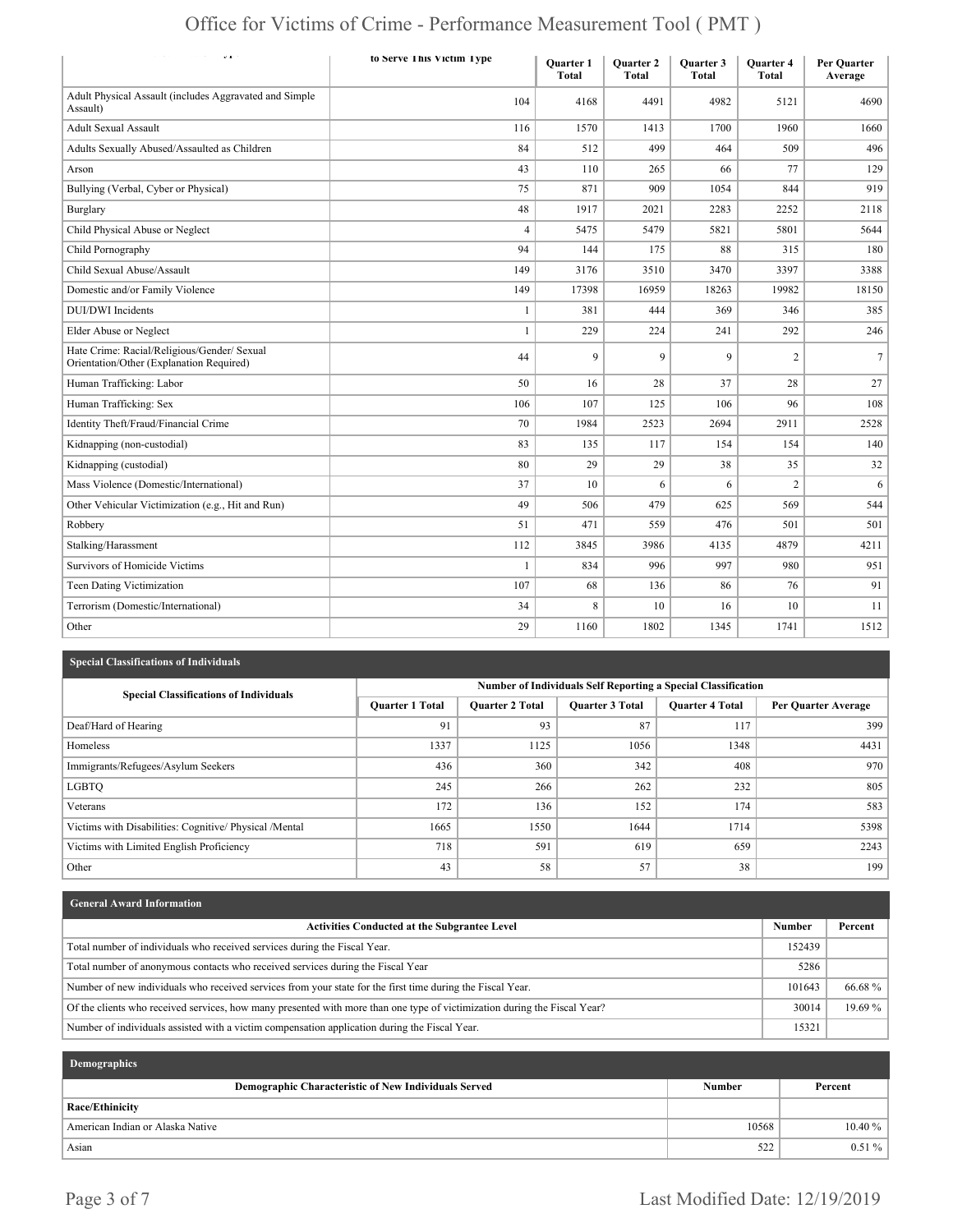| Office for Victims of Crime - Performance Measurement Tool (PMT) |  |
|------------------------------------------------------------------|--|
|------------------------------------------------------------------|--|

| $\label{eq:2.1} \begin{array}{cccccccccc} \bullet & \bullet & \bullet & \bullet & \bullet & \bullet \end{array}$<br>$\mathbf{v}$ | to Serve This Victim Type | <b>Ouarter 1</b><br><b>Total</b> | <b>Ouarter 2</b><br><b>Total</b> | <b>Ouarter 3</b><br><b>Total</b> | <b>Ouarter 4</b><br><b>Total</b> | <b>Per Ouarter</b><br>Average |
|----------------------------------------------------------------------------------------------------------------------------------|---------------------------|----------------------------------|----------------------------------|----------------------------------|----------------------------------|-------------------------------|
| Adult Physical Assault (includes Aggravated and Simple<br>Assault)                                                               | 104                       | 4168                             | 4491                             | 4982                             | 5121                             | 4690                          |
| <b>Adult Sexual Assault</b>                                                                                                      | 116                       | 1570                             | 1413                             | 1700                             | 1960                             | 1660                          |
| Adults Sexually Abused/Assaulted as Children                                                                                     | 84                        | 512                              | 499                              | 464                              | 509                              | 496                           |
| Arson                                                                                                                            | 43                        | 110                              | 265                              | 66                               | 77                               | 129                           |
| Bullying (Verbal, Cyber or Physical)                                                                                             | 75                        | 871                              | 909                              | 1054                             | 844                              | 919                           |
| <b>Burglary</b>                                                                                                                  | 48                        | 1917                             | 2021                             | 2283                             | 2252                             | 2118                          |
| Child Physical Abuse or Neglect                                                                                                  | 4                         | 5475                             | 5479                             | 5821                             | 5801                             | 5644                          |
| Child Pornography                                                                                                                | 94                        | 144                              | 175                              | 88                               | 315                              | 180                           |
| Child Sexual Abuse/Assault                                                                                                       | 149                       | 3176                             | 3510                             | 3470                             | 3397                             | 3388                          |
| Domestic and/or Family Violence                                                                                                  | 149                       | 17398                            | 16959                            | 18263                            | 19982                            | 18150                         |
| <b>DUI/DWI</b> Incidents                                                                                                         | 1                         | 381                              | 444                              | 369                              | 346                              | 385                           |
| Elder Abuse or Neglect                                                                                                           | 1                         | 229                              | 224                              | 241                              | 292                              | 246                           |
| Hate Crime: Racial/Religious/Gender/ Sexual<br>Orientation/Other (Explanation Required)                                          | 44                        | 9                                | 9                                | 9                                | $\overline{2}$                   | $\tau$                        |
| Human Trafficking: Labor                                                                                                         | 50                        | 16                               | 28                               | 37                               | 28                               | 27 <sup>1</sup>               |
| Human Trafficking: Sex                                                                                                           | 106                       | 107                              | 125                              | 106                              | 96                               | 108                           |
| Identity Theft/Fraud/Financial Crime                                                                                             | 70                        | 1984                             | 2523                             | 2694                             | 2911                             | 2528                          |
| Kidnapping (non-custodial)                                                                                                       | 83                        | 135                              | 117                              | 154                              | 154                              | 140                           |
| Kidnapping (custodial)                                                                                                           | 80                        | 29                               | 29                               | 38                               | 35                               | 32                            |
| Mass Violence (Domestic/International)                                                                                           | 37                        | 10                               | 6                                | 6                                | $\overline{c}$                   | 6                             |
| Other Vehicular Victimization (e.g., Hit and Run)                                                                                | 49                        | 506                              | 479                              | 625                              | 569                              | 544                           |
| Robbery                                                                                                                          | 51                        | 471                              | 559                              | 476                              | 501                              | 501                           |
| Stalking/Harassment                                                                                                              | 112                       | 3845                             | 3986                             | 4135                             | 4879                             | 4211                          |
| Survivors of Homicide Victims                                                                                                    | 1                         | 834                              | 996                              | 997                              | 980                              | 951                           |
| <b>Teen Dating Victimization</b>                                                                                                 | 107                       | 68                               | 136                              | 86                               | 76                               | 91                            |
| Terrorism (Domestic/International)                                                                                               | 34                        | 8                                | 10                               | 16                               | 10                               | 11                            |
| Other                                                                                                                            | 29                        | 1160                             | 1802                             | 1345                             | 1741                             | 1512                          |

### **Special Classifications of Individuals**

| <b>Special Classifications of Individuals</b>          | <b>Number of Individuals Self Reporting a Special Classification</b> |                        |                        |                        |                            |  |  |
|--------------------------------------------------------|----------------------------------------------------------------------|------------------------|------------------------|------------------------|----------------------------|--|--|
|                                                        | Quarter 1 Total                                                      | <b>Ouarter 2 Total</b> | <b>Quarter 3 Total</b> | <b>Ouarter 4 Total</b> | <b>Per Quarter Average</b> |  |  |
| Deaf/Hard of Hearing                                   | 91                                                                   | 93                     | 87                     | 117                    | 399                        |  |  |
| Homeless                                               | 1337                                                                 | 1125                   | 1056                   | 1348                   | 4431                       |  |  |
| Immigrants/Refugees/Asylum Seekers                     | 436                                                                  | 360                    | 342                    | 408                    | 970                        |  |  |
| LGBTQ                                                  | 245                                                                  | 266                    | 262                    | 232                    | 805                        |  |  |
| Veterans                                               | 172                                                                  | 136                    | 152                    | 174                    | 583                        |  |  |
| Victims with Disabilities: Cognitive/ Physical /Mental | 1665                                                                 | 1550                   | 1644                   | 1714                   | 5398                       |  |  |
| Victims with Limited English Proficiency               | 718                                                                  | 591                    | 619                    | 659                    | 2243                       |  |  |
| Other                                                  | 43                                                                   | 58                     | 57                     | 38                     | 199                        |  |  |

| <b>General Award Information</b>                                                                                          |               |         |
|---------------------------------------------------------------------------------------------------------------------------|---------------|---------|
| <b>Activities Conducted at the Subgrantee Level</b>                                                                       | <b>Number</b> | Percent |
| Total number of individuals who received services during the Fiscal Year.                                                 | 152439        |         |
| Total number of anonymous contacts who received services during the Fiscal Year                                           | 5286          |         |
| Number of new individuals who received services from your state for the first time during the Fiscal Year.                | 101643        | 66.68 % |
| Of the clients who received services, how many presented with more than one type of victimization during the Fiscal Year? | 30014         | 19.69%  |
| Number of individuals assisted with a victim compensation application during the Fiscal Year.                             | 15321         |         |

| Demographics                                         |               |           |
|------------------------------------------------------|---------------|-----------|
| Demographic Characteristic of New Individuals Served | <b>Number</b> | Percent   |
| Race/Ethinicity                                      |               |           |
| American Indian or Alaska Native                     | 10568         | $10.40\%$ |
| Asian                                                | 522           | $0.51\%$  |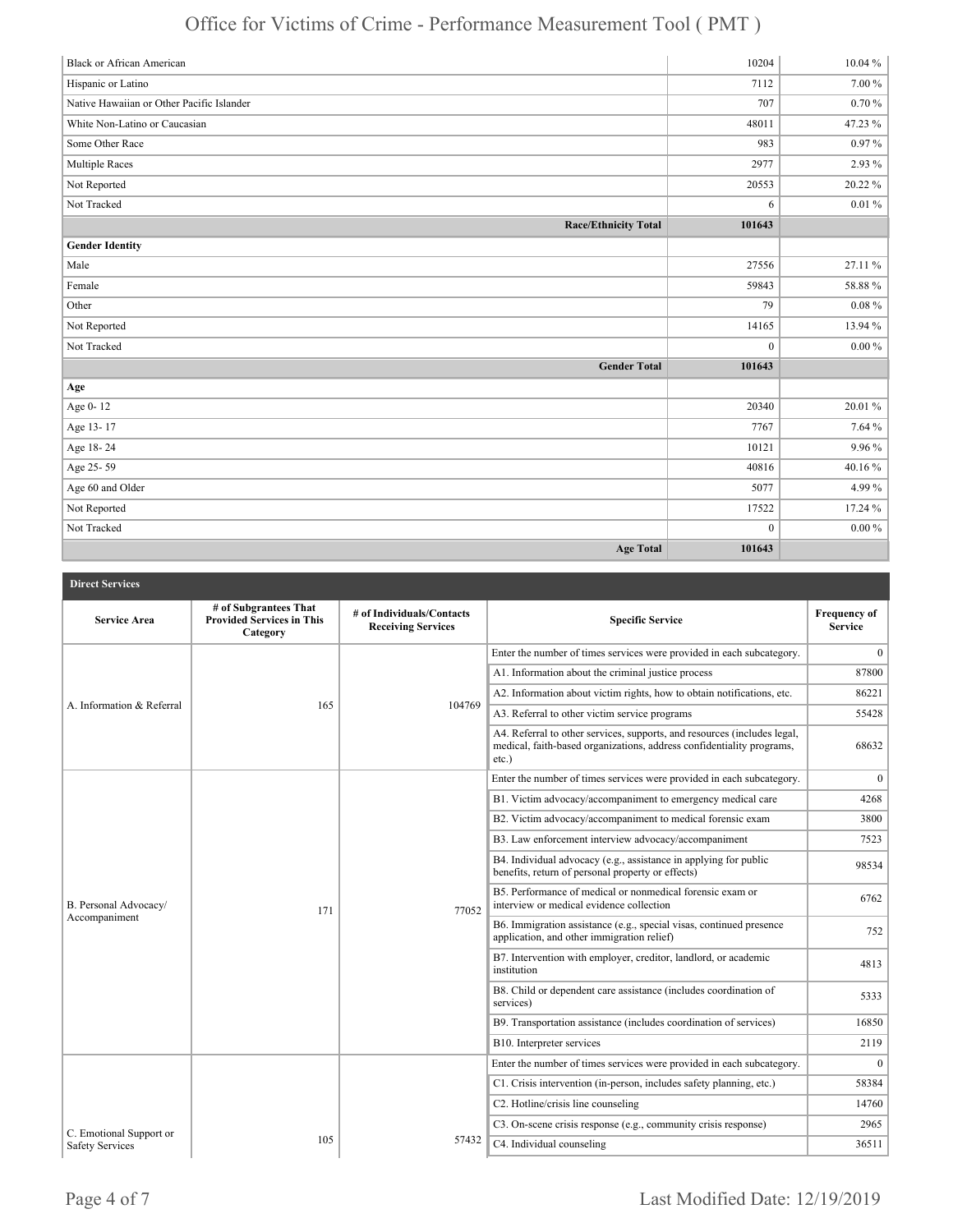| <b>Black or African American</b>          | 10204            | $10.04\%$  |
|-------------------------------------------|------------------|------------|
| Hispanic or Latino                        | 7112             | $7.00\,\%$ |
| Native Hawaiian or Other Pacific Islander | 707              | $0.70 \%$  |
| White Non-Latino or Caucasian             | 48011            | 47.23 %    |
| Some Other Race                           | 983              | 0.97%      |
| <b>Multiple Races</b>                     | 2977             | 2.93 %     |
| Not Reported                              | 20553            | 20.22%     |
| Not Tracked                               | $\sqrt{6}$       | $0.01\%$   |
| <b>Race/Ethnicity Total</b>               | 101643           |            |
| <b>Gender Identity</b>                    |                  |            |
| Male                                      | 27556            | 27.11 %    |
| Female                                    | 59843            | 58.88%     |
| Other                                     | 79               | $0.08 \%$  |
| Not Reported                              | 14165            | 13.94 %    |
| Not Tracked                               | $\boldsymbol{0}$ | $0.00 \%$  |
| <b>Gender Total</b>                       | 101643           |            |
| Age                                       |                  |            |
| Age 0-12                                  | 20340            | 20.01%     |
| Age 13-17                                 | 7767             | 7.64 %     |
| Age 18-24                                 | 10121            | 9.96%      |
| Age 25-59                                 | 40816            | 40.16%     |
| Age 60 and Older                          | 5077             | 4.99%      |
| Not Reported                              | 17522            | 17.24 %    |
| Not Tracked                               | $\boldsymbol{0}$ | $0.00\,\%$ |
| <b>Age Total</b>                          | 101643           |            |

| <b>Direct Services</b>                 |                                                                       |                                                        |                                                                                                                                                               |                                       |
|----------------------------------------|-----------------------------------------------------------------------|--------------------------------------------------------|---------------------------------------------------------------------------------------------------------------------------------------------------------------|---------------------------------------|
| <b>Service Area</b>                    | # of Subgrantees That<br><b>Provided Services in This</b><br>Category | # of Individuals/Contacts<br><b>Receiving Services</b> | <b>Specific Service</b>                                                                                                                                       | <b>Frequency of</b><br><b>Service</b> |
|                                        |                                                                       |                                                        | Enter the number of times services were provided in each subcategory.                                                                                         | $\overline{0}$                        |
| A. Information & Referral              |                                                                       | 104769                                                 | A1. Information about the criminal justice process                                                                                                            | 87800                                 |
|                                        |                                                                       |                                                        | A2. Information about victim rights, how to obtain notifications, etc.                                                                                        | 86221                                 |
|                                        | 165                                                                   |                                                        | A3. Referral to other victim service programs                                                                                                                 | 55428                                 |
|                                        |                                                                       |                                                        | A4. Referral to other services, supports, and resources (includes legal,<br>medical, faith-based organizations, address confidentiality programs,<br>$etc.$ ) | 68632                                 |
|                                        |                                                                       | 77052                                                  | Enter the number of times services were provided in each subcategory.                                                                                         | $\overline{0}$                        |
| B. Personal Advocacy/<br>Accompaniment | 171                                                                   |                                                        | B1. Victim advocacy/accompaniment to emergency medical care                                                                                                   | 4268                                  |
|                                        |                                                                       |                                                        | B2. Victim advocacy/accompaniment to medical forensic exam                                                                                                    | 3800                                  |
|                                        |                                                                       |                                                        | B3. Law enforcement interview advocacy/accompaniment                                                                                                          | 7523                                  |
|                                        |                                                                       |                                                        | B4. Individual advocacy (e.g., assistance in applying for public<br>benefits, return of personal property or effects)                                         | 98534                                 |
|                                        |                                                                       |                                                        | B5. Performance of medical or nonmedical forensic exam or<br>interview or medical evidence collection                                                         | 6762                                  |
|                                        |                                                                       |                                                        | B6. Immigration assistance (e.g., special visas, continued presence<br>application, and other immigration relief)                                             | 752                                   |
|                                        |                                                                       |                                                        | B7. Intervention with employer, creditor, landlord, or academic<br>institution                                                                                | 4813                                  |
|                                        |                                                                       |                                                        | B8. Child or dependent care assistance (includes coordination of<br>services)                                                                                 | 5333                                  |
|                                        |                                                                       |                                                        | B9. Transportation assistance (includes coordination of services)                                                                                             | 16850                                 |
|                                        |                                                                       |                                                        | B10. Interpreter services                                                                                                                                     | 2119                                  |
|                                        |                                                                       |                                                        | Enter the number of times services were provided in each subcategory.                                                                                         | $\overline{0}$                        |
|                                        |                                                                       |                                                        | C1. Crisis intervention (in-person, includes safety planning, etc.)                                                                                           | 58384                                 |
|                                        |                                                                       |                                                        | C2. Hotline/crisis line counseling                                                                                                                            | 14760                                 |
| C. Emotional Support or                |                                                                       |                                                        | C3. On-scene crisis response (e.g., community crisis response)                                                                                                | 2965                                  |
| <b>Safety Services</b>                 | 105                                                                   | 57432                                                  | C4. Individual counseling                                                                                                                                     | 36511                                 |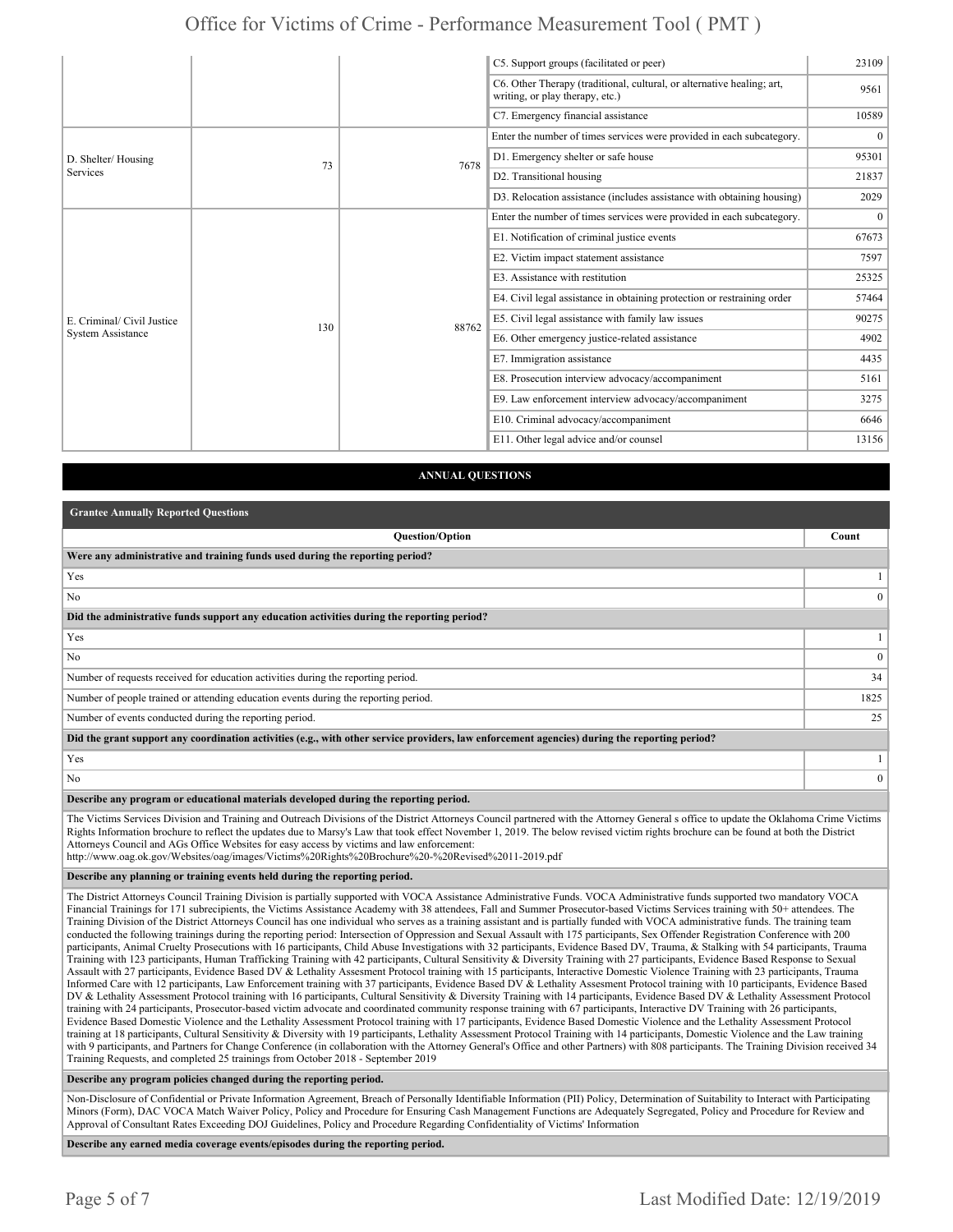|                                                        |     |       | C5. Support groups (facilitated or peer)                                                                  | 23109          |
|--------------------------------------------------------|-----|-------|-----------------------------------------------------------------------------------------------------------|----------------|
|                                                        |     |       | C6. Other Therapy (traditional, cultural, or alternative healing; art,<br>writing, or play therapy, etc.) | 9561           |
|                                                        |     |       | C7. Emergency financial assistance                                                                        | 10589          |
| D. Shelter/Housing<br>Services                         | 73  | 7678  | Enter the number of times services were provided in each subcategory.                                     | $\overline{0}$ |
|                                                        |     |       | D1. Emergency shelter or safe house                                                                       | 95301          |
|                                                        |     |       | D2. Transitional housing                                                                                  | 21837          |
|                                                        |     |       | D3. Relocation assistance (includes assistance with obtaining housing)                                    | 2029           |
| E. Criminal/ Civil Justice<br><b>System Assistance</b> |     | 88762 | Enter the number of times services were provided in each subcategory.                                     | $\overline{0}$ |
|                                                        |     |       | E1. Notification of criminal justice events                                                               | 67673          |
|                                                        |     |       | E2. Victim impact statement assistance                                                                    | 7597           |
|                                                        |     |       | E3. Assistance with restitution                                                                           | 25325          |
|                                                        |     |       | E4. Civil legal assistance in obtaining protection or restraining order                                   | 57464          |
|                                                        | 130 |       | E5. Civil legal assistance with family law issues                                                         | 90275          |
|                                                        |     |       | E6. Other emergency justice-related assistance                                                            | 4902           |
|                                                        |     |       | E7. Immigration assistance                                                                                | 4435           |
|                                                        |     |       | E8. Prosecution interview advocacy/accompaniment                                                          | 5161           |
|                                                        |     |       | E9. Law enforcement interview advocacy/accompaniment                                                      | 3275           |
|                                                        |     |       | E10. Criminal advocacy/accompaniment                                                                      | 6646           |
|                                                        |     |       | E11. Other legal advice and/or counsel                                                                    | 13156          |

#### **ANNUAL QUESTIONS**

| <b>Grantee Annually Reported Questions</b>                                                                                                                                                                                                                                                                                                                                   |              |
|------------------------------------------------------------------------------------------------------------------------------------------------------------------------------------------------------------------------------------------------------------------------------------------------------------------------------------------------------------------------------|--------------|
| <b>Ouestion/Option</b>                                                                                                                                                                                                                                                                                                                                                       | Count        |
| Were any administrative and training funds used during the reporting period?                                                                                                                                                                                                                                                                                                 |              |
| Yes                                                                                                                                                                                                                                                                                                                                                                          |              |
| N <sub>0</sub>                                                                                                                                                                                                                                                                                                                                                               | $\Omega$     |
| Did the administrative funds support any education activities during the reporting period?                                                                                                                                                                                                                                                                                   |              |
| Yes                                                                                                                                                                                                                                                                                                                                                                          |              |
| N <sub>0</sub>                                                                                                                                                                                                                                                                                                                                                               | $\mathbf{0}$ |
| Number of requests received for education activities during the reporting period.                                                                                                                                                                                                                                                                                            | 34           |
| Number of people trained or attending education events during the reporting period.                                                                                                                                                                                                                                                                                          | 1825         |
| Number of events conducted during the reporting period.                                                                                                                                                                                                                                                                                                                      | 25           |
| Did the grant support any coordination activities (e.g., with other service providers, law enforcement agencies) during the reporting period?                                                                                                                                                                                                                                |              |
| Yes                                                                                                                                                                                                                                                                                                                                                                          |              |
| N <sub>0</sub>                                                                                                                                                                                                                                                                                                                                                               | $\theta$     |
| Describe any program or educational materials developed during the reporting period.                                                                                                                                                                                                                                                                                         |              |
| The Victims Services Division and Training and Outreach Divisions of the District Attorneys Council partnered with the Attorney General s office to update the Oklahoma Crime Victims<br>Rights Information brochure to reflect the undates due to Marsy's Law that took effect November 1, 2019. The below revised victim rights brochure can be found at both the District |              |

Rights Information brochure to reflect the updates due to Marsy's Law that took effect November 1, 2019. The below revised victim rights brochure can be found at both the District Attorneys Council and AGs Office Websites for easy access by victims and law enforcement:

http://www.oag.ok.gov/Websites/oag/images/Victims%20Rights%20Brochure%20-%20Revised%2011-2019.pdf

#### **Describe any planning or training events held during the reporting period.**

The District Attorneys Council Training Division is partially supported with VOCA Assistance Administrative Funds. VOCA Administrative funds supported two mandatory VOCA Financial Trainings for 171 subrecipients, the Victims Assistance Academy with 38 attendees, Fall and Summer Prosecutor-based Victims Services training with 50+ attendees. The Training Division of the District Attorneys Council has one individual who serves as a training assistant and is partially funded with VOCA administrative funds. The training team conducted the following trainings during the reporting period: Intersection of Oppression and Sexual Assault with 175 participants, Sex Offender Registration Conference with 200 participants, Animal Cruelty Prosecutions with 16 participants, Child Abuse Investigations with 32 participants, Evidence Based DV, Trauma, & Stalking with 54 participants, Trauma Training with 123 participants, Human Trafficking Training with 42 participants, Cultural Sensitivity & Diversity Training with 27 participants, Evidence Based Response to Sexual Assault with 27 participants, Evidence Based DV & Lethality Assesment Protocol training with 15 participants, Interactive Domestic Violence Training with 23 participants, Trauma Informed Care with 12 participants, Law Enforcement training with 37 participants, Evidence Based DV & Lethality Assesment Protocol training with 10 participants, Evidence Based DV & Lethality Assessment Protocol training with 16 participants, Cultural Sensitivity & Diversity Training with 14 participants, Evidence Based DV & Lethality Assessment Protocol training with 24 participants, Prosecutor-based victim advocate and coordinated community response training with 67 participants, Interactive DV Training with 26 participants, Evidence Based Domestic Violence and the Lethality Assessment Protocol training with 17 participants, Evidence Based Domestic Violence and the Lethality Assessment Protocol training at 18 participants, Cultural Sensitivity & Diversity with 19 participants, Lethality Assessment Protocol Training with 14 participants, Domestic Violence and the Law training with 9 participants, and Partners for Change Conference (in collaboration with the Attorney General's Office and other Partners) with 808 participants. The Training Division received 34 Training Requests, and completed 25 trainings from October 2018 - September 2019

**Describe any program policies changed during the reporting period.** 

Non-Disclosure of Confidential or Private Information Agreement, Breach of Personally Identifiable Information (PII) Policy, Determination of Suitability to Interact with Participating Minors (Form), DAC VOCA Match Waiver Policy, Policy and Procedure for Ensuring Cash Management Functions are Adequately Segregated, Policy and Procedure for Review and Approval of Consultant Rates Exceeding DOJ Guidelines, Policy and Procedure Regarding Confidentiality of Victims' Information

**Describe any earned media coverage events/episodes during the reporting period.**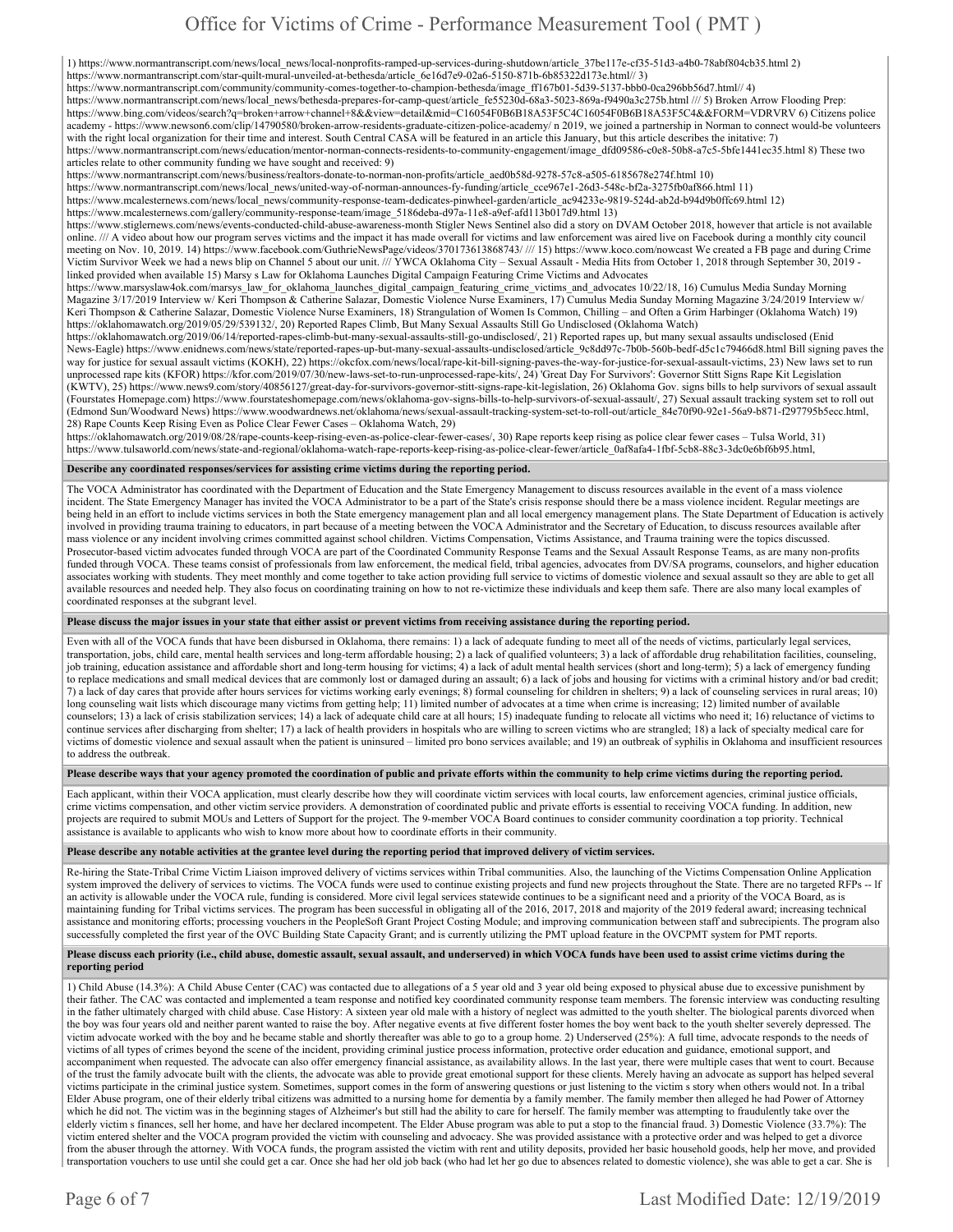1) https://www.normantranscript.com/news/local\_news/local-nonprofits-ramped-up-services-during-shutdown/article\_37be117e-cf35-51d3-a4b0-78abf804cb35.html 2)

https://www.normantranscript.com/star-quilt-mural-unveiled-at-bethesda/article\_6e16d7e9-02a6-5150-871b-6b85322d173e.html// 3)

https://www.normantranscript.com/community/community-comes-together-to-champion-bethesda/image\_ff167b01-5d39-5137-bbb0-0ca296bb56d7.html// 4)

https://www.normantranscript.com/news/local\_news/bethesda-prepares-for-camp-quest/article\_fe55230d-68a3-5023-869a-f9490a3c275b.html /// 5) Broken Arrow Flooding Prep: https://www.bing.com/videos/search?q=broken+arrow+channel+8&&view=detail&mid=C16054F0B6B18A53F5C4C16054F0B6B18A53F5C4&&FORM=VDRVRV 6) Citizens police academy - https://www.newson6.com/clip/14790580/broken-arrow-residents-graduate-citizen-police-academy/ n 2019, we joined a partnership in Norman to connect would-be volunteers with the right local organization for their time and interest. South Central CASA will be featured in an article this January, but this article describes the initative: 7) https://www.normantranscript.com/news/education/mentor-norman-connects-residents-to-community-engagement/image\_dfd09586-c0e8-50b8-a7c5-5bfe1441ec35.html 8) These two

articles relate to other community funding we have sought and received: 9)

https://www.normantranscript.com/news/business/realtors-donate-to-norman-non-profits/article\_aed0b58d-9278-57c8-a505-6185678e274f.html 10)

https://www.normantranscript.com/news/local\_news/united-way-of-norman-announces-fy-funding/article\_cce967e1-26d3-548c-bf2a-3275fb0af866.html 11)

https://www.mcalesternews.com/news/local\_news/community-response-team-dedicates-pinwheel-garden/article\_ac94233e-9819-524d-ab2d-b94d9b0ffc69.html 12)

https://www.mcalesternews.com/gallery/community-response-team/image\_5186deba-d97a-11e8-a9ef-afd113b017d9.html 13)

https://www.stiglernews.com/news/events-conducted-child-abuse-awareness-month Stigler News Sentinel also did a story on DVAM October 2018, however that article is not available online. /// A video about how our program serves victims and the impact it has made overall for victims and law enforcement was aired live on Facebook during a monthly city council meeting on Nov. 10, 2019. 14) https://www.facebook.com/GuthrieNewsPage/videos/370173613868743/ /// 15) https://www.koco.com/nowcast We created a FB page and during Crime Victim Survivor Week we had a news blip on Channel 5 about our unit. /// YWCA Oklahoma City – Sexual Assault - Media Hits from October 1, 2018 through September 30, 2019 linked provided when available 15) Marsy s Law for Oklahoma Launches Digital Campaign Featuring Crime Victims and Advocates

https://www.marsyslaw4ok.com/marsys\_law\_for\_oklahoma\_launches\_digital\_campaign\_featuring\_crime\_victims\_and\_advocates 10/22/18, 16) Cumulus Media Sunday Morning Magazine 3/17/2019 Interview w/ Keri Thompson & Catherine Salazar, Domestic Violence Nurse Examiners, 17) Cumulus Media Sunday Morning Magazine 3/24/2019 Interview w/ Keri Thompson & Catherine Salazar, Domestic Violence Nurse Examiners, 18) Strangulation of Women Is Common, Chilling – and Often a Grim Harbinger (Oklahoma Watch) 19) https://oklahomawatch.org/2019/05/29/539132/, 20) Reported Rapes Climb, But Many Sexual Assaults Still Go Undisclosed (Oklahoma Watch)

https://oklahomawatch.org/2019/06/14/reported-rapes-climb-but-many-sexual-assaults-still-go-undisclosed/, 21) Reported rapes up, but many sexual assaults undisclosed (Enid News-Eagle) https://www.enidnews.com/news/state/reported-rapes-up-but-many-sexual-assaults-undisclosed/article\_9c8dd97c-7b0b-560b-bedf-d5c1c79466d8.html Bill signing paves the way for justice for sexual assault victims (KOKH), 22) https://okcfox.com/news/local/rape-kit-bill-signing-paves-the-way-for-justice-for-sexual-assault-victims, 23) New laws set to run unprocessed rape kits (KFOR) https://kfor.com/2019/07/30/new-laws-set-to-run-unprocessed-rape-kits/, 24) 'Great Day For Survivors': Governor Stitt Signs Rape Kit Legislation (KWTV), 25) https://www.news9.com/story/40856127/great-day-for-survivors-governor-stitt-signs-rape-kit-legislation, 26) Oklahoma Gov. signs bills to help survivors of sexual assault (Fourstates Homepage.com) https://www.fourstateshomepage.com/news/oklahoma-gov-signs-bills-to-help-survivors-of-sexual-assault/, 27) Sexual assault tracking system set to roll out (Edmond Sun/Woodward News) https://www.woodwardnews.net/oklahoma/news/sexual-assault-tracking-system-set-to-roll-out/article\_84e70f90-92e1-56a9-b871-f297795b5ecc.html, 28) Rape Counts Keep Rising Even as Police Clear Fewer Cases – Oklahoma Watch, 29)

https://oklahomawatch.org/2019/08/28/rape-counts-keep-rising-even-as-police-clear-fewer-cases/, 30) Rape reports keep rising as police clear fewer cases – Tulsa World, 31) https://www.tulsaworld.com/news/state-and-regional/oklahoma-watch-rape-reports-keep-rising-as-police-clear-fewer/article\_0af8afa4-1fbf-5cb8-88c3-3dc0e6bf6b95.html,

#### **Describe any coordinated responses/services for assisting crime victims during the reporting period.**

The VOCA Administrator has coordinated with the Department of Education and the State Emergency Management to discuss resources available in the event of a mass violence incident. The State Emergency Manager has invited the VOCA Administrator to be a part of the State's crisis response should there be a mass violence incident. Regular meetings are being held in an effort to include victims services in both the State emergency management plan and all local emergency management plans. The State Department of Education is actively involved in providing trauma training to educators, in part because of a meeting between the VOCA Administrator and the Secretary of Education, to discuss resources available after mass violence or any incident involving crimes committed against school children. Victims Compensation, Victims Assistance, and Trauma training were the topics discussed. Prosecutor-based victim advocates funded through VOCA are part of the Coordinated Community Response Teams and the Sexual Assault Response Teams, as are many non-profits funded through VOCA. These teams consist of professionals from law enforcement, the medical field, tribal agencies, advocates from DV/SA programs, counselors, and higher education associates working with students. They meet monthly and come together to take action providing full service to victims of domestic violence and sexual assault so they are able to get all available resources and needed help. They also focus on coordinating training on how to not re-victimize these individuals and keep them safe. There are also many local examples of coordinated responses at the subgrant level.

**Please discuss the major issues in your state that either assist or prevent victims from receiving assistance during the reporting period.** 

Even with all of the VOCA funds that have been disbursed in Oklahoma, there remains: 1) a lack of adequate funding to meet all of the needs of victims, particularly legal services, transportation, jobs, child care, mental health services and long-term affordable housing; 2) a lack of qualified volunteers; 3) a lack of affordable drug rehabilitation facilities, counseling, job training, education assistance and affordable short and long-term housing for victims; 4) a lack of adult mental health services (short and long-term); 5) a lack of emergency funding to replace medications and small medical devices that are commonly lost or damaged during an assault; 6) a lack of jobs and housing for victims with a criminal history and/or bad credit; 7) a lack of day cares that provide after hours services for victims working early evenings; 8) formal counseling for children in shelters; 9) a lack of counseling services in rural areas; 10) long counseling wait lists which discourage many victims from getting help; 11) limited number of advocates at a time when crime is increasing; 12) limited number of available counselors; 13) a lack of crisis stabilization services; 14) a lack of adequate child care at all hours; 15) inadequate funding to relocate all victims who need it; 16) reluctance of victims to continue services after discharging from shelter; 17) a lack of health providers in hospitals who are willing to screen victims who are strangled; 18) a lack of specialty medical care for victims of domestic violence and sexual assault when the patient is uninsured – limited pro bono services available; and 19) an outbreak of syphilis in Oklahoma and insufficient resources to address the outbreak.

#### **Please describe ways that your agency promoted the coordination of public and private efforts within the community to help crime victims during the reporting period.**

Each applicant, within their VOCA application, must clearly describe how they will coordinate victim services with local courts, law enforcement agencies, criminal justice officials, crime victims compensation, and other victim service providers. A demonstration of coordinated public and private efforts is essential to receiving VOCA funding. In addition, new projects are required to submit MOUs and Letters of Support for the project. The 9-member VOCA Board continues to consider community coordination a top priority. Technical assistance is available to applicants who wish to know more about how to coordinate efforts in their community.

**Please describe any notable activities at the grantee level during the reporting period that improved delivery of victim services.** 

Re-hiring the State-Tribal Crime Victim Liaison improved delivery of victims services within Tribal communities. Also, the launching of the Victims Compensation Online Application system improved the delivery of services to victims. The VOCA funds were used to continue existing projects and fund new projects throughout the State. There are no targeted RFPs -- If an activity is allowable under the VOCA rule, funding is considered. More civil legal services statewide continues to be a significant need and a priority of the VOCA Board, as is maintaining funding for Tribal victims services. The program has been successful in obligating all of the 2016, 2017, 2018 and majority of the 2019 federal award; increasing technical assistance and monitoring efforts; processing vouchers in the PeopleSoft Grant Project Costing Module; and improving communication between staff and subrecipients. The program also successfully completed the first year of the OVC Building State Capacity Grant; and is currently utilizing the PMT upload feature in the OVCPMT system for PMT reports.

#### **Please discuss each priority (i.e., child abuse, domestic assault, sexual assault, and underserved) in which VOCA funds have been used to assist crime victims during the reporting period**

1) Child Abuse (14.3%): A Child Abuse Center (CAC) was contacted due to allegations of a 5 year old and 3 year old being exposed to physical abuse due to excessive punishment by their father. The CAC was contacted and implemented a team response and notified key coordinated community response team members. The forensic interview was conducting resulting in the father ultimately charged with child abuse. Case History: A sixteen year old male with a history of neglect was admitted to the youth shelter. The biological parents divorced when the boy was four years old and neither parent wanted to raise the boy. After negative events at five different foster homes the boy went back to the youth shelter severely depressed. The victim advocate worked with the boy and he became stable and shortly thereafter was able to go to a group home. 2) Underserved (25%): A full time, advocate responds to the needs of victims of all types of crimes beyond the scene of the incident, providing criminal justice process information, protective order education and guidance, emotional support, and accompaniment when requested. The advocate can also offer emergency financial assistance, as availability allows. In the last year, there were multiple cases that went to court. Because of the trust the family advocate built with the clients, the advocate was able to provide great emotional support for these clients. Merely having an advocate as support has helped several victims participate in the criminal justice system. Sometimes, support comes in the form of answering questions or just listening to the victim s story when others would not. In a tribal Elder Abuse program, one of their elderly tribal citizens was admitted to a nursing home for dementia by a family member. The family member then alleged he had Power of Attorney which he did not. The victim was in the beginning stages of Alzheimer's but still had the ability to care for herself. The family member was attempting to fraudulently take over the elderly victim s finances, sell her home, and have her declared incompetent. The Elder Abuse program was able to put a stop to the financial fraud. 3) Domestic Violence (33.7%): The victim entered shelter and the VOCA program provided the victim with counseling and advocacy. She was provided assistance with a protective order and was helped to get a divorce from the abuser through the attorney. With VOCA funds, the program assisted the victim with rent and utility deposits, provided her basic household goods, help her move, and provided transportation vouchers to use until she could get a car. Once she had her old job back (who had let her go due to absences related to domestic violence), she was able to get a car. She is